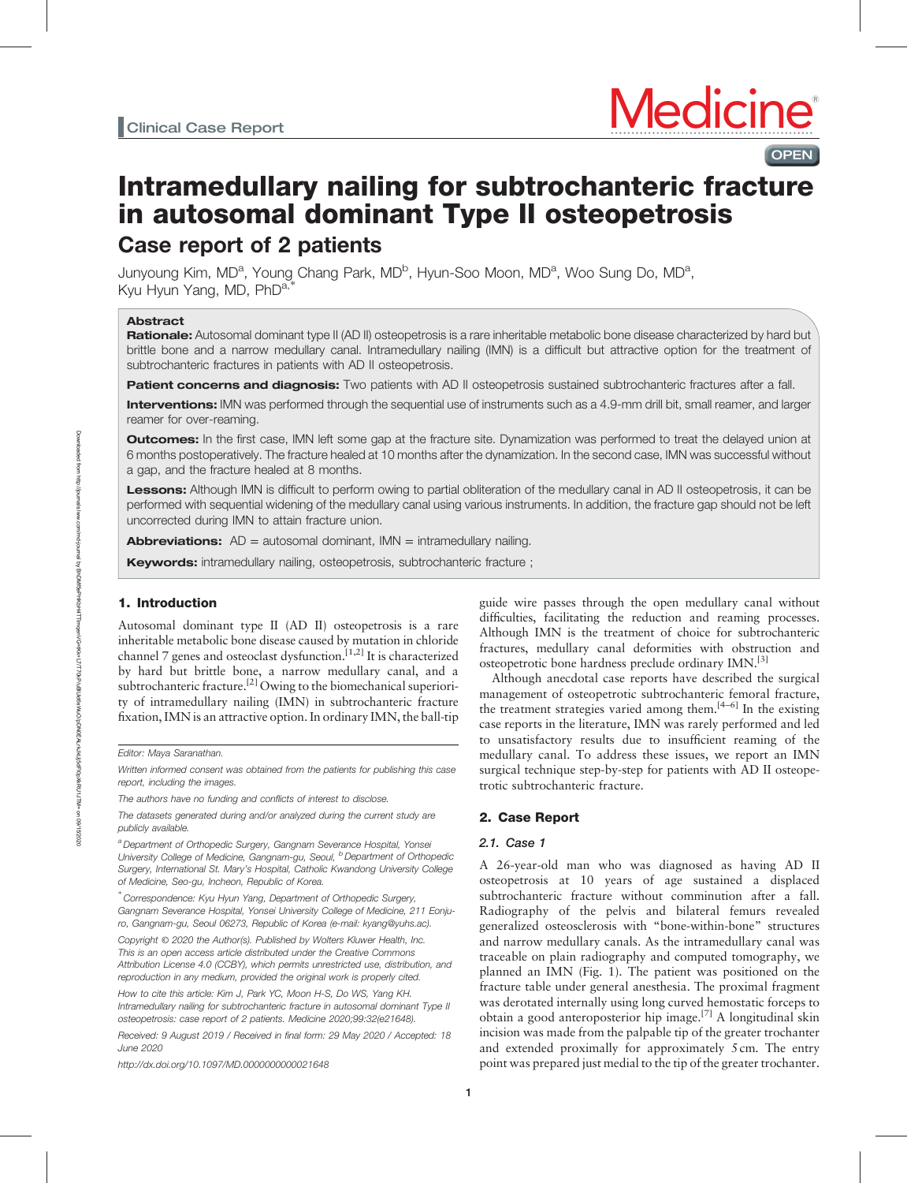# Intramedullary nailing for subtrochanteric fracture in autosomal dominant Type II osteopetrosis Case report of 2 patients

Junyoung Kim, MD<sup>a</sup>, Young Chang Park, MD<sup>b</sup>, Hyun-Soo Moon, MD<sup>a</sup>, Woo Sung Do, MD<sup>a</sup>, Kyu Hyun Yang, MD, PhD<sup>a,</sup>

### Abstract

Rationale: Autosomal dominant type II (AD II) osteopetrosis is a rare inheritable metabolic bone disease characterized by hard but brittle bone and a narrow medullary canal. Intramedullary nailing (IMN) is a difficult but attractive option for the treatment of subtrochanteric fractures in patients with AD II osteopetrosis.

Patient concerns and diagnosis: Two patients with AD II osteopetrosis sustained subtrochanteric fractures after a fall.

Interventions: IMN was performed through the sequential use of instruments such as a 4.9-mm drill bit, small reamer, and larger reamer for over-reaming.

**Outcomes:** In the first case, IMN left some gap at the fracture site. Dynamization was performed to treat the delayed union at 6 months postoperatively. The fracture healed at 10 months after the dynamization. In the second case, IMN was successful without a gap, and the fracture healed at 8 months.

Lessons: Although IMN is difficult to perform owing to partial obliteration of the medullary canal in AD II osteopetrosis, it can be performed with sequential widening of the medullary canal using various instruments. In addition, the fracture gap should not be left uncorrected during IMN to attain fracture union.

**Abbreviations:**  $AD =$  autosomal dominant,  $IMN =$  intramedullary nailing.

**Keywords:** intramedullary nailing, osteopetrosis, subtrochanteric fracture ;

### 1. Introduction

Autosomal dominant type II (AD II) osteopetrosis is a rare inheritable metabolic bone disease caused by mutation in chloride channel 7 genes and osteoclast dysfunction.<sup>[1,2]</sup> It is characterized by hard but brittle bone, a narrow medullary canal, and a subtrochanteric fracture.<sup>[2]</sup> Owing to the biomechanical superiority of intramedullary nailing (IMN) in subtrochanteric fracture fixation, IMN is an attractive option. In ordinary IMN, the ball-tip

Written informed consent was obtained from the patients for publishing this case report, including the images.

The authors have no funding and conflicts of interest to disclose.

a Department of Orthopedic Surgery, Gangnam Severance Hospital, Yonsei University College of Medicine, Gangnam-gu, Seoul, <sup>b</sup> Department of Orthopedic Surgery, International St. Mary's Hospital, Catholic Kwandong University College of Medicine, Seo-gu, Incheon, Republic of Korea.

∗ Correspondence: Kyu Hyun Yang, Department of Orthopedic Surgery, Gangnam Severance Hospital, Yonsei University College of Medicine, 211 Eonjuro, Gangnam-gu, Seoul 06273, Republic of Korea (e-mail: [kyang@yuhs.ac](mailto:kyang@yuhs.ac)).

Copyright © 2020 the Author(s). Published by Wolters Kluwer Health, Inc. This is an open access article distributed under the [Creative Commons](http://creativecommons.org/licenses/by/4.0) [Attribution License 4.0](http://creativecommons.org/licenses/by/4.0) (CCBY), which permits unrestricted use, distribution, and reproduction in any medium, provided the original work is properly cited.

How to cite this article: Kim J, Park YC, Moon H-S, Do WS, Yang KH. Intramedullary nailing for subtrochanteric fracture in autosomal dominant Type II osteopetrosis: case report of 2 patients. Medicine 2020;99:32(e21648).

Received: 9 August 2019 / Received in final form: 29 May 2020 / Accepted: 18 June 2020

<http://dx.doi.org/10.1097/MD.0000000000021648>

guide wire passes through the open medullary canal without difficulties, facilitating the reduction and reaming processes. Although IMN is the treatment of choice for subtrochanteric fractures, medullary canal deformities with obstruction and osteopetrotic bone hardness preclude ordinary IMN.<sup>[3]</sup>

**OPEN** 

Although anecdotal case reports have described the surgical management of osteopetrotic subtrochanteric femoral fracture, the treatment strategies varied among them.[4–6] In the existing case reports in the literature, IMN was rarely performed and led to unsatisfactory results due to insufficient reaming of the medullary canal. To address these issues, we report an IMN surgical technique step-by-step for patients with AD II osteopetrotic subtrochanteric fracture.

### 2. Case Report

### 2.1. Case 1

A 26-year-old man who was diagnosed as having AD II osteopetrosis at 10 years of age sustained a displaced subtrochanteric fracture without comminution after a fall. Radiography of the pelvis and bilateral femurs revealed generalized osteosclerosis with "bone-within-bone" structures and narrow medullary canals. As the intramedullary canal was traceable on plain radiography and computed tomography, we planned an IMN (Fig. 1). The patient was positioned on the fracture table under general anesthesia. The proximal fragment was derotated internally using long curved hemostatic forceps to obtain a good anteroposterior hip image.[7] A longitudinal skin incision was made from the palpable tip of the greater trochanter and extended proximally for approximately 5 cm. The entry point was prepared just medial to the tip of the greater trochanter.

Editor: Maya Saranathan.

The datasets generated during and/or analyzed during the current study are publicly available.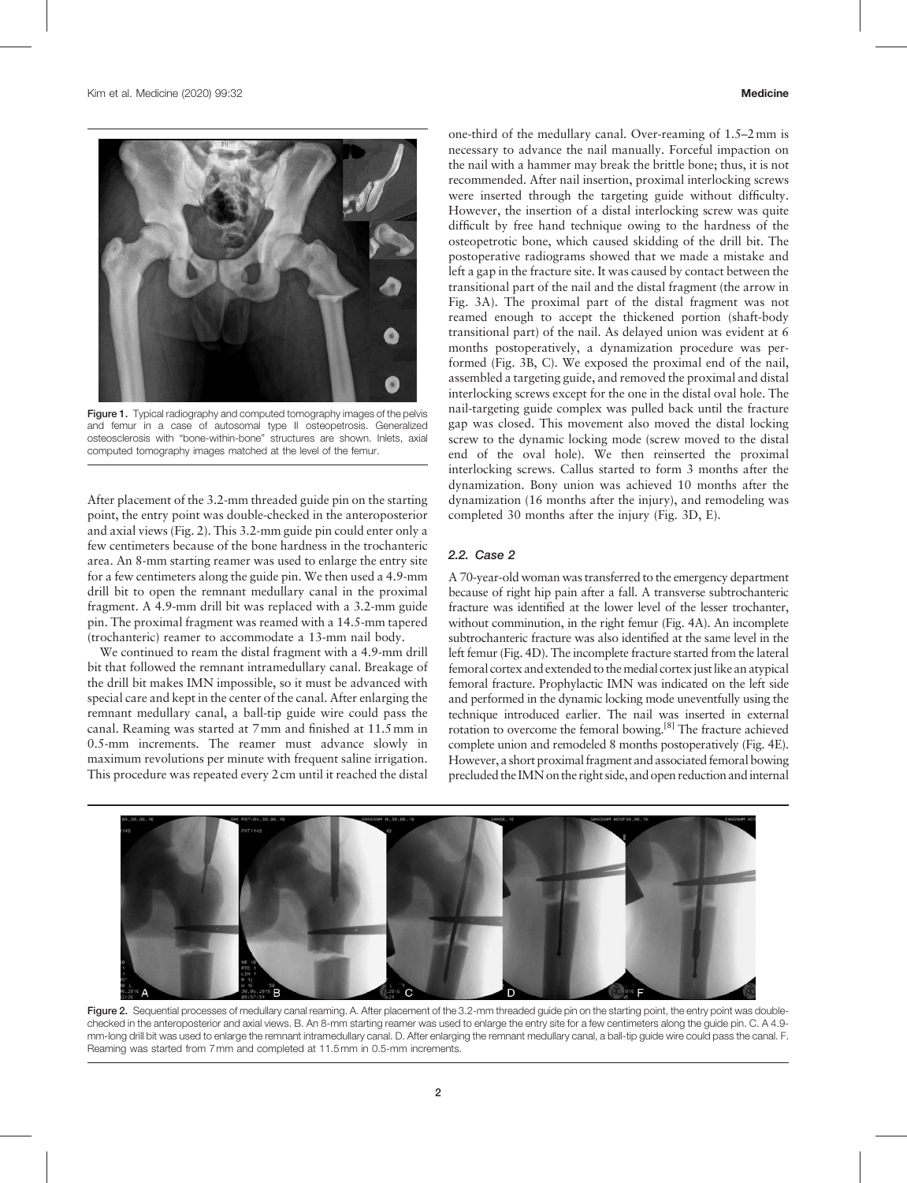

Figure 1. Typical radiography and computed tomography images of the pelvis and femur in a case of autosomal type II osteopetrosis. Generalized osteosclerosis with "bone-within-bone" structures are shown. Inlets, axial computed tomography images matched at the level of the femur.

After placement of the 3.2-mm threaded guide pin on the starting point, the entry point was double-checked in the anteroposterior and axial views (Fig. 2). This 3.2-mm guide pin could enter only a few centimeters because of the bone hardness in the trochanteric area. An 8-mm starting reamer was used to enlarge the entry site for a few centimeters along the guide pin. We then used a 4.9-mm drill bit to open the remnant medullary canal in the proximal fragment. A 4.9-mm drill bit was replaced with a 3.2-mm guide pin. The proximal fragment was reamed with a 14.5-mm tapered (trochanteric) reamer to accommodate a 13-mm nail body.

We continued to ream the distal fragment with a 4.9-mm drill bit that followed the remnant intramedullary canal. Breakage of the drill bit makes IMN impossible, so it must be advanced with special care and kept in the center of the canal. After enlarging the remnant medullary canal, a ball-tip guide wire could pass the canal. Reaming was started at 7mm and finished at 11.5mm in 0.5-mm increments. The reamer must advance slowly in maximum revolutions per minute with frequent saline irrigation. This procedure was repeated every 2 cm until it reached the distal

one-third of the medullary canal. Over-reaming of 1.5–2mm is necessary to advance the nail manually. Forceful impaction on the nail with a hammer may break the brittle bone; thus, it is not recommended. After nail insertion, proximal interlocking screws were inserted through the targeting guide without difficulty. However, the insertion of a distal interlocking screw was quite difficult by free hand technique owing to the hardness of the osteopetrotic bone, which caused skidding of the drill bit. The postoperative radiograms showed that we made a mistake and left a gap in the fracture site. It was caused by contact between the transitional part of the nail and the distal fragment (the arrow in Fig. 3A). The proximal part of the distal fragment was not reamed enough to accept the thickened portion (shaft-body transitional part) of the nail. As delayed union was evident at 6 months postoperatively, a dynamization procedure was performed (Fig. 3B, C). We exposed the proximal end of the nail, assembled a targeting guide, and removed the proximal and distal interlocking screws except for the one in the distal oval hole. The nail-targeting guide complex was pulled back until the fracture gap was closed. This movement also moved the distal locking screw to the dynamic locking mode (screw moved to the distal end of the oval hole). We then reinserted the proximal interlocking screws. Callus started to form 3 months after the dynamization. Bony union was achieved 10 months after the dynamization (16 months after the injury), and remodeling was completed 30 months after the injury (Fig. 3D, E).

### 2.2. Case 2

A 70-year-old woman was transferred to the emergency department because of right hip pain after a fall. A transverse subtrochanteric fracture was identified at the lower level of the lesser trochanter, without comminution, in the right femur (Fig. 4A). An incomplete subtrochanteric fracture was also identified at the same level in the left femur (Fig. 4D). The incomplete fracture started from the lateral femoral cortex and extended to the medial cortex just like an atypical femoral fracture. Prophylactic IMN was indicated on the left side and performed in the dynamic locking mode uneventfully using the technique introduced earlier. The nail was inserted in external rotation to overcome the femoral bowing.[8] The fracture achieved complete union and remodeled 8 months postoperatively (Fig. 4E). However, a short proximal fragment and associated femoral bowing precluded the IMN on the right side, and open reduction and internal



Figure 2. Sequential processes of medullary canal reaming. A. After placement of the 3.2-mm threaded guide pin on the starting point, the entry point was doublechecked in the anteroposterior and axial views. B. An 8-mm starting reamer was used to enlarge the entry site for a few centimeters along the guide pin. C. A 4.9 mm-long drill bit was used to enlarge the remnant intramedullary canal. D. After enlarging the remnant medullary canal, a ball-tip guide wire could pass the canal. F. Reaming was started from 7mm and completed at 11.5mm in 0.5-mm increments.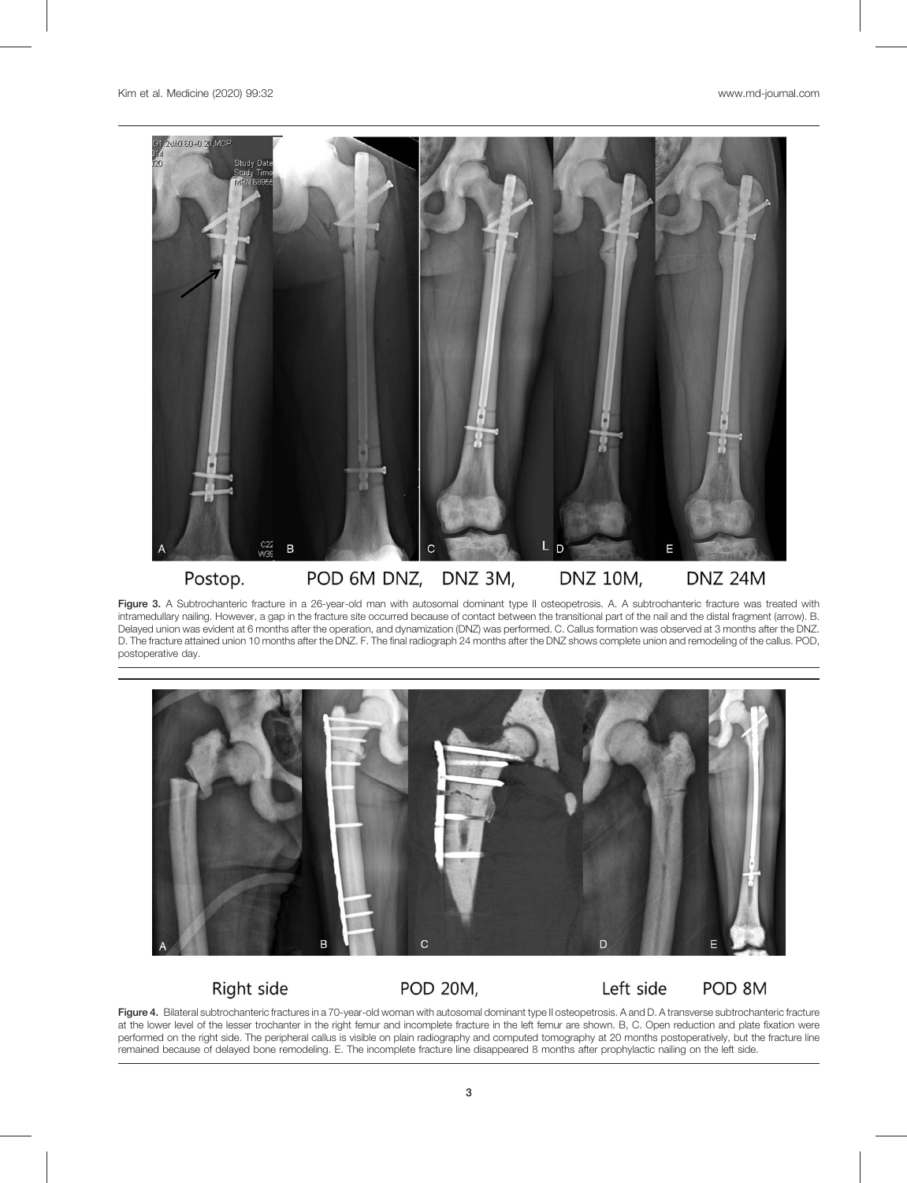

Figure 3. A Subtrochanteric fracture in a 26-year-old man with autosomal dominant type II osteopetrosis. A. A subtrochanteric fracture was treated with intramedullary nailing. However, a gap in the fracture site occurred because of contact between the transitional part of the nail and the distal fragment (arrow). B. Delayed union was evident at 6 months after the operation, and dynamization (DNZ) was performed. C. Callus formation was observed at 3 months after the DNZ. D. The fracture attained union 10 months after the DNZ. F. The final radiograph 24 months after the DNZ shows complete union and remodeling of the callus. POD, postoperative day.



## Right side

**POD 20M,** 

#### POD 8M Left side

Figure 4. Bilateral subtrochanteric fractures in a 70-year-old woman with autosomal dominant type II osteopetrosis. A and D. A transverse subtrochanteric fracture at the lower level of the lesser trochanter in the right femur and incomplete fracture in the left femur are shown. B, C. Open reduction and plate fixation were performed on the right side. The peripheral callus is visible on plain radiography and computed tomography at 20 months postoperatively, but the fracture line remained because of delayed bone remodeling. E. The incomplete fracture line disappeared 8 months after prophylactic nailing on the left side.